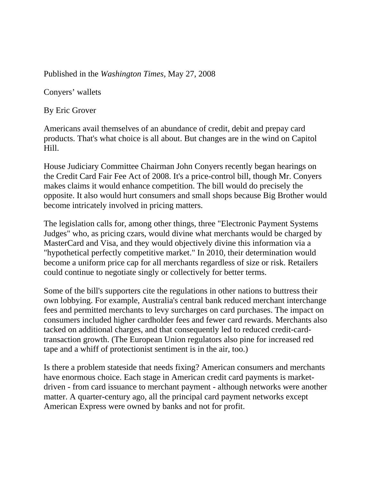Published in the *Washington Times,* May 27, 2008

Conyers' wallets

By Eric Grover

Americans avail themselves of an abundance of credit, debit and prepay card products. That's what choice is all about. But changes are in the wind on Capitol Hill.

House Judiciary Committee Chairman John Conyers recently began hearings on the Credit Card Fair Fee Act of 2008. It's a price-control bill, though Mr. Conyers makes claims it would enhance competition. The bill would do precisely the opposite. It also would hurt consumers and small shops because Big Brother would become intricately involved in pricing matters.

The legislation calls for, among other things, three "Electronic Payment Systems Judges" who, as pricing czars, would divine what merchants would be charged by MasterCard and Visa, and they would objectively divine this information via a "hypothetical perfectly competitive market." In 2010, their determination would become a uniform price cap for all merchants regardless of size or risk. Retailers could continue to negotiate singly or collectively for better terms.

Some of the bill's supporters cite the regulations in other nations to buttress their own lobbying. For example, Australia's central bank reduced merchant interchange fees and permitted merchants to levy surcharges on card purchases. The impact on consumers included higher cardholder fees and fewer card rewards. Merchants also tacked on additional charges, and that consequently led to reduced credit-cardtransaction growth. (The European Union regulators also pine for increased red tape and a whiff of protectionist sentiment is in the air, too.)

Is there a problem stateside that needs fixing? American consumers and merchants have enormous choice. Each stage in American credit card payments is marketdriven - from card issuance to merchant payment - although networks were another matter. A quarter-century ago, all the principal card payment networks except American Express were owned by banks and not for profit.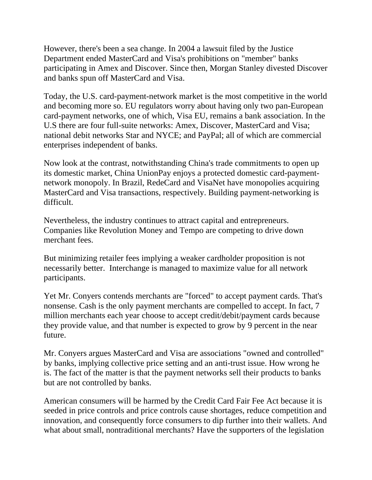However, there's been a sea change. In 2004 a lawsuit filed by the Justice Department ended MasterCard and Visa's prohibitions on "member" banks participating in Amex and Discover. Since then, Morgan Stanley divested Discover and banks spun off MasterCard and Visa.

Today, the U.S. card-payment-network market is the most competitive in the world and becoming more so. EU regulators worry about having only two pan-European card-payment networks, one of which, Visa EU, remains a bank association. In the U.S there are four full-suite networks: Amex, Discover, MasterCard and Visa; national debit networks Star and NYCE; and PayPal; all of which are commercial enterprises independent of banks.

Now look at the contrast, notwithstanding China's trade commitments to open up its domestic market, China UnionPay enjoys a protected domestic card-paymentnetwork monopoly. In Brazil, RedeCard and VisaNet have monopolies acquiring MasterCard and Visa transactions, respectively. Building payment-networking is difficult.

Nevertheless, the industry continues to attract capital and entrepreneurs. Companies like Revolution Money and Tempo are competing to drive down merchant fees.

But minimizing retailer fees implying a weaker cardholder proposition is not necessarily better. Interchange is managed to maximize value for all network participants.

Yet Mr. Conyers contends merchants are "forced" to accept payment cards. That's nonsense. Cash is the only payment merchants are compelled to accept. In fact, 7 million merchants each year choose to accept credit/debit/payment cards because they provide value, and that number is expected to grow by 9 percent in the near future.

Mr. Conyers argues MasterCard and Visa are associations "owned and controlled" by banks, implying collective price setting and an anti-trust issue. How wrong he is. The fact of the matter is that the payment networks sell their products to banks but are not controlled by banks.

American consumers will be harmed by the Credit Card Fair Fee Act because it is seeded in price controls and price controls cause shortages, reduce competition and innovation, and consequently force consumers to dip further into their wallets. And what about small, nontraditional merchants? Have the supporters of the legislation